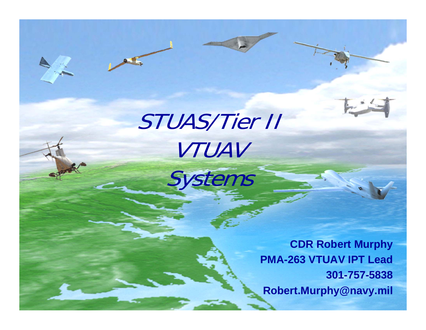

# STUAS/Tier II VTUAV Systems

**CDR Robert Murphy PMA-263 VTUAV IPT Lead 301-757-5838 Robert.Murphy@navy.mil**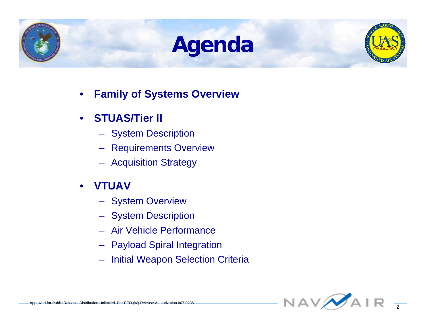## **Agenda**



- **Family of Systems Overview**
- **STUAS/Tier II** 
	- System Description
	- Requirements Overview
	- Acquisition Strategy
- **VTUAV** 
	- System Overview
	- System Description
	- Air Vehicle Performance
	- Payload Spiral Integration
	- Initial Weapon Selection Criteria

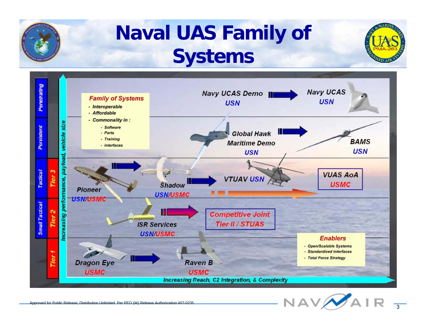

## **Naval UAS Family of Systems**



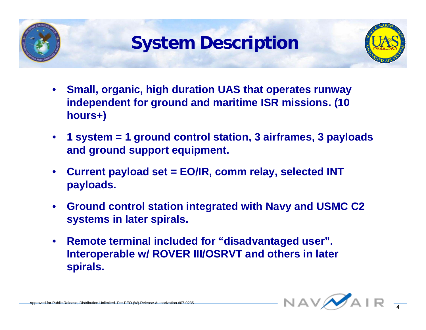

### **System Description**



- **Small, organic, high duration UAS that operates runway independent for ground and maritime ISR missions. (10 hours+)**
- **1 system = 1 ground control station, 3 airframes, 3 payloads and ground support equipment.**
- **Current payload set = EO/IR, comm relay, selected INT payloads.**
- **Ground control station integrated with Navy and USMC C2 systems in later spirals.**
- **Remote terminal included for "disadvantaged user". Interoperable w/ ROVER III/OSRVT and others in later spirals.**

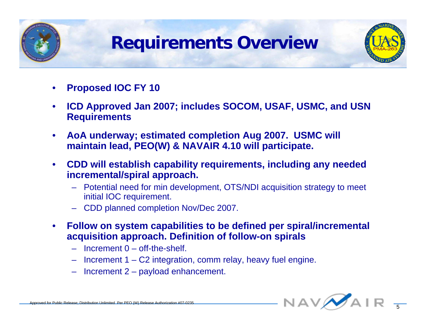

### **Requirements Overview**



- **Proposed IOC FY 10**
- **ICD Approved Jan 2007; includes SOCOM, USAF, USMC, and USN Requirements**
- **AoA underway; estimated completion Aug 2007. USMC will maintain lead, PEO(W) & NAVAIR 4.10 will participate.**
- **CDD will establish capability requirements, including any needed incremental/spiral approach.**
	- Potential need for min development, OTS/NDI acquisition strategy to meet initial IOC requirement.
	- CDD planned completion Nov/Dec 2007.
- **Follow on system capabilities to be defined per spiral/incremental acquisition approach. Definition of follow-on spirals**
	- $-$  Increment  $0$  off-the-shelf.
	- Increment 1 C2 integration, comm relay, heavy fuel engine.
	- Increment 2 payload enhancement.

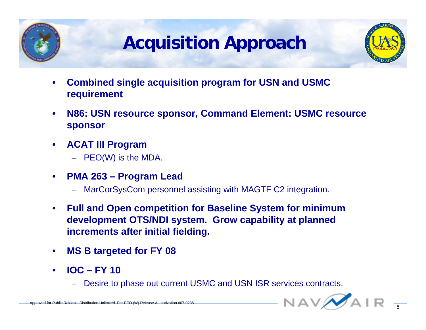

## **Acquisition Approach**



- **Combined single acquisition program for USN and USMC requirement**
- **N86: USN resource sponsor, Command Element: USMC resource sponsor**
- **ACAT III Program** 
	- PEO(W) is the MDA.
- **PMA 263 Program Lead**
	- MarCorSysCom personnel assisting with MAGTF C2 integration.
- **Full and Open competition for Baseline System for minimum development OTS/NDI system. Grow capability at planned increments after initial fielding.**
- **MS B targeted for FY 08**
- **IOC FY 10**
	- Desire to phase out current USMC and USN ISR services contracts.

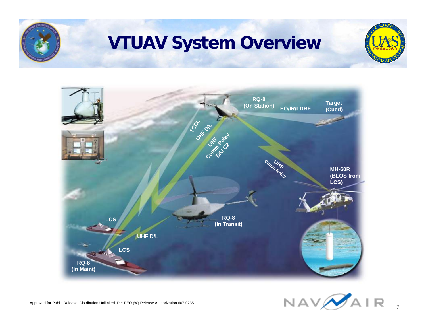

### **VTUAV System Overview**







 $\overline{7}$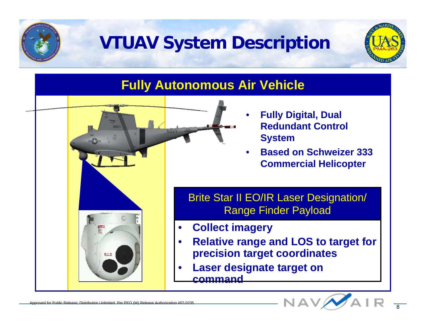

### **VTUAV System Description**



#### **Fully Autonomous Air Vehicle**

- **Fully Digital, Dual Redundant Control System**
- **Based on Schweizer 333 Commercial Helicopter**

Brite Star II EO/IR Laser Designation/ Range Finder Payload

- **Collect imagery**
- **Relative range and LOS to target for precision target coordinates**
- **Laser designate target on command**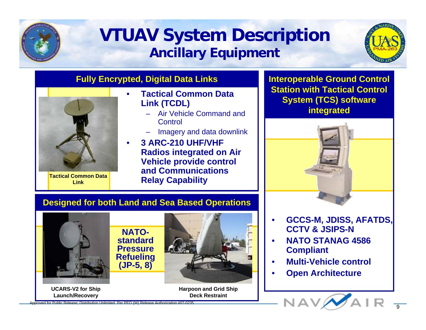

#### **VTUAV System Description Ancillary Equipment**



#### **Fully Encrypted, Digital Data Links**



**Tactical Common Data Link**

**Launch/Recovery**

#### • **Tactical Common Data Link (TCDL)**

- Air Vehicle Command and **Control**
- Imagery and data downlink
- **3 ARC-210 UHF/VHF Radios integrated on Air Vehicle provide control and Communications Relay Capability**

**Interoperable Ground Control Station with Tactical Control System (TCS) software integrated**



#### **Designed for both Land and Sea Based Operations**



**Deck Restraint**

• **GCCS-M, JDISS, AFATDS, CCTV & JSIPS-N**

- **NATO STANAG 4586 Compliant**
- **Multi-Vehicle control**
- **Open Architecture**



Approved for Public Release; Distribution Unlimited Per PEO (W) Release Authorization #07-0235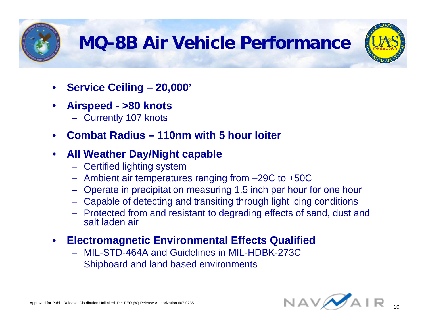

## **MQ-8B Air Vehicle Performance**



- **Service Ceiling 20,000'**
- **Airspeed >80 knots**
	- Currently 107 knots
- **Combat Radius 110nm with 5 hour loiter**

#### • **All Weather Day/Night capable**

- Certified lighting system
- Ambient air temperatures ranging from –29C to +50C
- Operate in precipitation measuring 1.5 inch per hour for one hour
- Capable of detecting and transiting through light icing conditions
- Protected from and resistant to degrading effects of sand, dust and salt laden air

#### • **Electromagnetic Environmental Effects Qualified**

- MIL-STD-464A and Guidelines in MIL-HDBK-273C
- Shipboard and land based environments

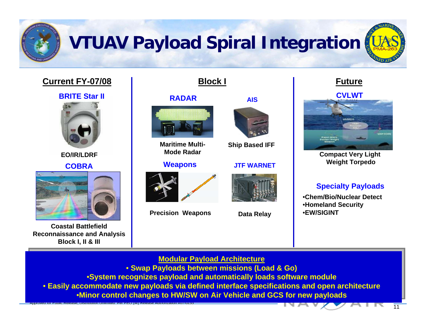

## **VTUAV Payload Spiral Integration**

#### **Current FY-07/08**



**EO/IR/LDRF**

**COBRA**



**Coastal Battlefield Reconnaissance and Analysis Block I, II & III**

**Block I Future**

#### **RADAR**



**Maritime Multi-Mode Radar**

**Weapon s**



**Precision Weapons**



**Ship Based IFF**

#### **JTF WARNET**



**CVLWT AIS**



**Compact Very Light Weight Torpedo**

#### **Specialty Payload s**

11

•**Chem/Bio/Nuclear Detect**•**Homeland Security Data Relay** •**EW/SIGINT**

#### **Modular Payload Architecture Modular Payload Architecture**

• **Swap Payloads between missions (Load & Go)**  • **Swap Payloads between missions (Load & Go)** 

•**System recognizes payload and automatically loads software module** •**System recognizes payload and automatically loads software module**

• **Easily accommodate new payloads via defined interface specifications and open architecture** • **Easily accommodate new payloads via defined interface specifications and open architecture** •**Minor control changes to HW/SW on Air Vehicle and GCS for new payloads** •**Minor control changes to HW/SW on Air Vehicle and GCS for new payloads**

Approved for Public Release; Distribution Unlimited Per PEO (W) Release Authorization #07-0235<br>
1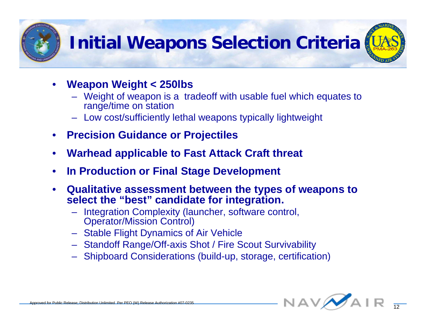

## **Initial Weapons Selection Criteria**



- **Weapon Weight < 250lbs**
	- Weight of weapon is a tradeoff with usable fuel which equates to range/time on station
	- Low cost/sufficiently lethal weapons typically lightweight
- **Precision Guidance or Projectiles**
- **Warhead applicable to Fast Attack Craft threat**
- **In Production or Final Stage Development**
- **Qualitative assessment between the types of weapons to select the "best" candidate for integration.**
	- Integration Complexity (launcher, software control, Operator/Mission Control)
	- Stable Flight Dynamics of Air Vehicle
	- Standoff Range/Off-axis Shot / Fire Scout Survivability
	- Shipboard Considerations (build-up, storage, certification)